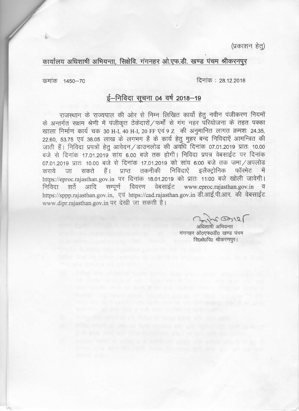(प्रकाशन हेतु)

कार्यालय अधिशाषी अभियन्ता, सिक्षेवि. गंगनहर ओ.एफ.डी. खण्ड पंचम श्रीकरनपूर

दिनांक: 28.12.2018

कमांक 1450-70

## ई-निविदा सूचना 04 वर्ष 2018-19

राजस्थान के राज्यपाल की ओर से निम्न लिखित कार्यो हेतू नवीन पंजीकरण नियमों के अन्तर्गत सक्षम श्रेणी में पंजीकृत ठेकेदारों / फर्मों से गंग नहर परियोजना के तहत पक्का खाला निर्माण कार्य चक 30 H-I, 40 H-I, 20 FF एवं 9 Z की अनुमानित लागत क्रमशः 24.35, 22.60, 53.75 एवं 38.05 लाख के लगभग है के कार्य हेतु मुहर बन्द निविदाएें आमन्त्रित की जाती हैं। निविदा प्रपत्रों हेतु आवेदन/डाउनलोड की अवधि दिनांक 07.01.2019 प्रातः 10.00 बजे से दिनांक 17.01.2019 सांय 6.00 बजे तक होगी। निविदा प्रपत्र वेबसाईट पर दिनांक 07.01.2019 प्रातः 10.00 बजे से दिनांक 17.01.2019 को सांय 6:00 बजे तक जमा / अपलोड सकते हैं। प्राप्त तकनीकी निविदाएें इलैक्ट्रोनिक फॉरमेट में कराये जा https://eproc.rajasthan.gov.in पर दिनांक 18.01.2019 को प्रातः 11:00 बजे खोली जावेगी। आदि सम्पूर्ण विवरण वेबसाईट www.eproc.rajasthan.gov.in व निविदा शर्ते https://sppp.rajasthan.gov.in, एवं https://cad.rajasthan.gov.in डी.आई.पी.आर. की वेबसाईट www.dipr.rajasthan.gov.in पर देखी जा सकती है।

201603125

अधिशाषी अभियन्ता गंगनहर ओ०एफ०डी० खण्ड पंचम सि0क्षे0वि0 श्रीकरणपुर।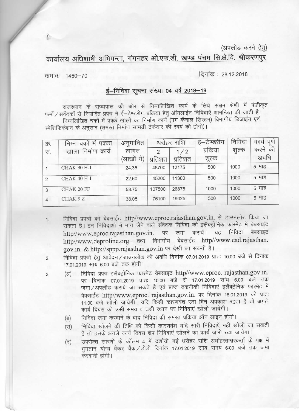(अपलोड करने हेतू)

कार्यालय अधिशाषी अभियन्ता, गंगनहर ओ.एफ.डी. खण्ड पंचम सि.क्षे.वि. श्रीकरणपूर

कमांक 1450-70

दिनांक: 28.12.2018

## ई-निविदा सूचना संख्या 04 वर्ष 2018-19

राजस्थान के राज्यपाल की ओर से निम्नलिखित कार्य के लिये सक्षम श्रेणी में पंजीकृत फर्मो / सवेंदकों से निर्धारित प्रपत्र में ई—टेण्डरींग प्रक्रिया हेतु ऑनलाईन निविदाऐं आमन्त्रित की जाती है। निम्नलिखित चकों में पक्के खालों का निर्माण कार्य (गंग कैनाल सिस्टम) विभागीय डिजाईन एवं स्पेशिफिकेशन के अनुसार (समस्त निर्माण सामग्री ठेकेदार की स्वयं की होगी)।

| फ्र. | में<br>पक्का<br>चका<br>निम्न | अनुमानित    | धरोहर राशि |         | ई–टेण्डरींग | निविदा | पूर्ण<br>काय |
|------|------------------------------|-------------|------------|---------|-------------|--------|--------------|
| रन.  | निर्माण<br>कार्य<br>खाला     | लागत        | 2          | 1/2     | प्रक्रिया   | शुल्क  | करने की      |
|      |                              | (लाखों में) | प्रतिशत    | प्रतिशत | शुल्क       |        | अवधि         |
|      | CHAK 30 H-I                  | 24.35       | 48700      | 12175   | 500         | 1000   | 5 माह        |
| 2    | CHAK 40 H-I                  | 22.60       | 45200      | 11300   | 500         | 1000   | 5 माह        |
| 3    | CHAK 20 FF                   | 53.75       | 107500     | 26875   | 1000        | 1000   | 5 माह        |
| 4    | CHAK 9 Z                     | 38.05       | 76100      | 19025   | 500         | 1000   | 5 माह        |

- निविदा प्रपत्रों को बेबसाईट http//www.eproc.rajasthan.gov.in. से डाउनलोड किया जा  $1.$ सकता है। इन निविदाओं में भाग लेने वाले संवेदक निविदा को इलैक्ट्रोनिक फारमेट में बेबसाईट जमा करायें। यह निविदा http//www.eproc.rajasthan.gov.in. बेबसाईट पर http//www.deproline.org तथा विभागीय बेबसाईट http//www.cad.rajasthan. gov.in. & http://sppp.rajasthan.gov.in पर देखी जा सकती है।
- निविदा प्रपत्रों हेतु आवेदन/डाउनलोड की अवधि दिनांक 07.01.2019 प्रातः 10.00 बजे से दिनांक  $2.$ 17.01.2019 सांय 6.00 बजे तक होगी।
- निविदा प्रपत्र इलैक्ट्रोनिक फारमेट वेबसाइट http//www.eproc. rajasthan.gov.in.  $(3)$  $3.$ पर दिनांक 07.01.2019 प्रातः 10.00 बजे से 17.01.2019 सांय 6.00 बजे तक जमा / अपलॉड कराये जा सकते है एवं प्राप्त तकनीकी निविदाएं इलैक्ट्रेनिक फारमेट में वेबसाईट http//www.eproc. rajasthan.gov.in. पर दिनांक 18.01.2019 को प्रातः 11.00 बजे खोली जायेगी। यदि किसी कारणवंश उस दिन अवकाश रहता है तो अगले कार्य दिवस को उसी समय व उसी स्थान पर निविदाएं खोली जायेगी।
	- निविदा जमा करवाने के बाद निविदा की समस्त प्रक्रिया ऑन लाइन होगी। (ন্ব)
	- निविदा खोलने की तिथि को किसी कारणवंश यदि सारी निविदाएें नहीं खोली जा सकती  $(FF)$ है तो इसके अगले कार्य दिवस शेष निविदाएं खोलने का कार्य जारी रखा जायेगा।
	- उपरोक्त सारणी के कॉलम 4 में दर्शायी गई धरोहर राशि अधोहस्ताक्षरकर्ता के पक्ष में  $(\overline{\varsigma})$ भगतान योग्य बैंकर चैंक / डीडी दिनांक 17.01.2019 सायं समय 6:00 बजे तक जमा करवानी होगी।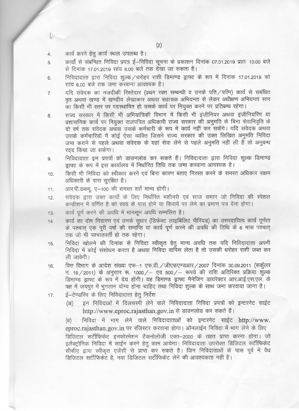$4.$ 

- कार्यों से संबन्धित निविदा प्रपत्र ई–निविदा सूचना के प्रकाशन दिनांक 07.01.2019 प्रातः 10.00 बजे 5. से दिनांक 17.01.2019 सांय 6.00 बजे तक देखा जा सकता है।
- निविदादाता द्वारा निविदा शुल्क /धरोहर राशी डिमाण्ड ड्राफ्ट के रूप में दिनांक 17.01.2019 को 6. सांय 6.00 बजे तक जमा करवाना आवश्यक है।
- यदि संवेदक का नजदीकी रिश्तेदार (प्रथम रक्त सम्बन्धी व उनके पति / पत्नि) कार्य से संबंधित  $\overline{7}$ वत अथवा खण्ड में खण्डीय लेखाकार अथवा सहायक अभियन्ता से लेकर अधीक्षण अभियन्ता स्तर का किसी भी स्तर पर पदस्थापित हो उसके कार्य पर नियुक्त करने पर प्रतिबन्ध रहेगा।
- राज्य सरकार में किसी भी अभियांत्रिकी विभाग में किसी भी इंजीनियर अथवा इंजीनियरिंग या 8. प्रशासनिक कार्य पर नियुक्त राजपत्रित अधिकारी राज्य सरकार की अनुमति के बिना सेवानिवृति के दो वर्ष तक संवेदक अथवा उसके कर्मचारी के रूप में कार्य नहीं कर सकेंगे। यदि संवेदक अथवा उसके कर्मचारियों में कोई ऐसा व्यक्ति जिसने राज्य सरकार की उक्त लिखित अनुमति निविदा जमा कराने से पहले अथवा संवेदक के यहां सेवा लेने से पहले अनुमति नहीं ली है तो अनुबन्ध रदद किया जा सकेगा।
- निविदादाता इन प्रपत्रों को डाउनलोड कर सकते हैं। निविदादाता द्वारा निविदा शुल्क डिमाण्ड 9. डाफ्ट के रूप में इस कार्यालय में निर्धारित तिथि तक जमा करवाना आवश्यक है।
- किसी भी निविदा को स्वीकार करने एवं बिना कारण बताए निरस्त करने के समस्त अधिकार सक्षम 10. अधिकारी के पास सरक्षित है।
- आर.पी.डब्ल्यू. ए-100 की समस्त शर्ते मान्य होगी। 11.
- संवेदक द्वारा उक्त कार्यो के लिए निर्धारित मशीनरी एवं साज समान जो निविदा की स्पेशल  $12.$ कन्डीशन में वर्णित है को स्वयं के पास होने या किराये पर लेने का प्रमाण पत्र देना होगा।
- कार्य पर्ण करने की अवधि में मानसन अवधि सम्मलित है।  $13$
- कार्य का दोष निवारण एवं उनके सूधार (डिफेक्ट लाइबिलिट पीरियड) का उत्तरदायित्व कार्य पूर्णता  $14$ के पश्चात् एक पूरी वर्षा की समाप्ति या कार्य पूर्ण करने की अवधि की तिथि के 6 मास पश्चात् तक जो भी पश्चातवर्ती हो तक रहेगा।
- निविदा खोलने की दिनांक से निविदा स्वीकृत हेतू मान्य अवधि तक यदि निविदादाता अपनी 15. निविदा में कोई संशोधन करता है अथवा निविदा वापिस लेता है तो उसकी धरोहर राशी जब्त कर ली जावेगी।
- वित्त विभाग के आदेश संख्या एफ-1 एफ.डी. / जीएफएण्डआर / 2007 दिनांक 30.09.2011 (सर्कूलर 16. नं. 19 / 2011) के अनुसार रू. 1000 / – एव 500 / – रूपये की राशि अतिरिक्त प्रक्रिया शुल्क डिमाण्ड डाफ्ट के रूप में देय होंगी। यह डिमाण्ड ड्राफ्ट मैनेजिंग डायरेक्टर आर.आई.एस.एल. के पक्ष में जयपुर में भुगतान योग्य होना चाहिए तथा निविदा शुल्क के साथ जमा करवाया जाना है।
- ई–टेण्डरिंग के लिए निविदादाता हेतु निर्देश 17.
	- इन निविदाओं में दिलचस्पी लेने वाले निविदादाता निविदा प्रपत्रों को इन्टरनेट साईट  $(3I)$ http://www.eproc.rajasthan.gov.in से डाउनलोड कर सकते हैं।

निविदा में भाग लेने वाले निविदादाताओं को इन्टरनेट साईट http://www. (ন) eproc.rajasthan.gov.in पर रजिस्टर करवाना होगा। ऑनलाईन निविदा में भाग लेने के लिए डिजिटल सर्टीफिकेट इनफोरमेशन टैकनोलोजी एक्त–2000 के तहत प्राप्त करना होगा। जो इलैक्ट्रोनिक निविदा में साईन करने हेतू काम आयेगा। निविदादाता उपरोक्त डिजिटल सर्टीफिकेट सीसीए द्वारा स्वीकत एजेंसी से प्राप्त कर सकते है। जिन निविदाताओं के पास पूर्व में वैध डिजिटल सर्टीफिकेंट है. नया डिजिटल सर्टीफिकेंट लेने की आवश्यकता नहीं है।